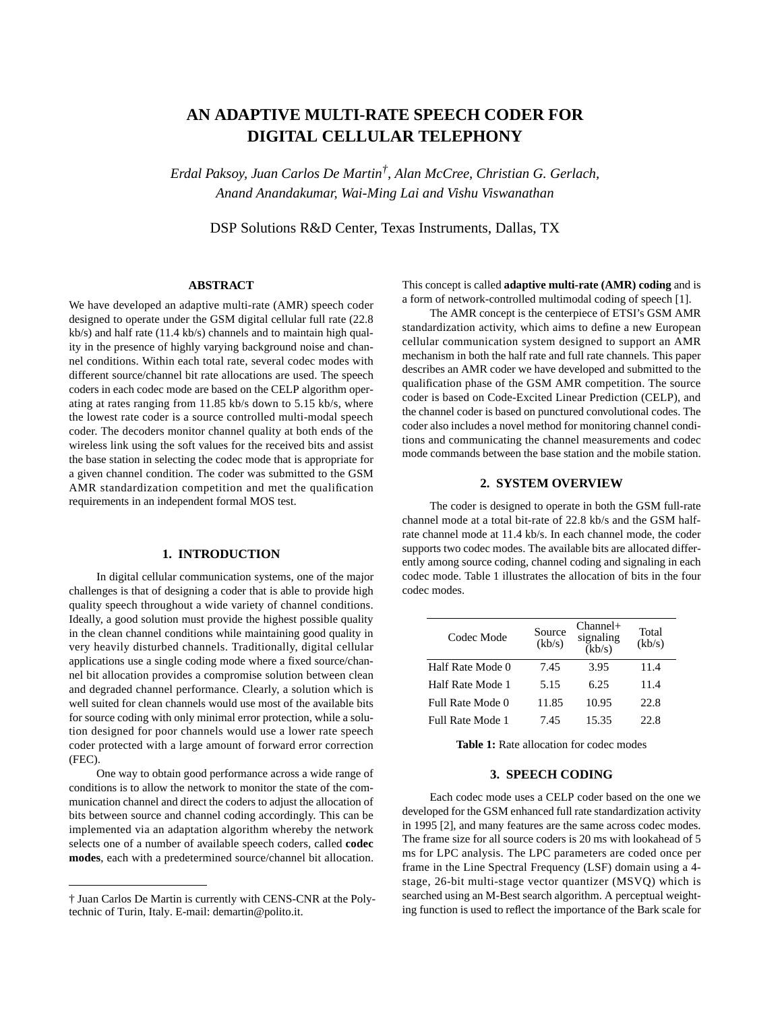# **AN ADAPTIVE MULTI-RATE SPEECH CODER FOR DIGITAL CELLULAR TELEPHONY**

*Erdal Paksoy, Juan Carlos De Martin† , Alan McCree, Christian G. Gerlach, Anand Anandakumar, Wai-Ming Lai and Vishu Viswanathan*

DSP Solutions R&D Center, Texas Instruments, Dallas, TX

### **ABSTRACT**

We have developed an adaptive multi-rate (AMR) speech coder designed to operate under the GSM digital cellular full rate (22.8 kb/s) and half rate (11.4 kb/s) channels and to maintain high quality in the presence of highly varying background noise and channel conditions. Within each total rate, several codec modes with different source/channel bit rate allocations are used. The speech coders in each codec mode are based on the CELP algorithm operating at rates ranging from 11.85 kb/s down to 5.15 kb/s, where the lowest rate coder is a source controlled multi-modal speech coder. The decoders monitor channel quality at both ends of the wireless link using the soft values for the received bits and assist the base station in selecting the codec mode that is appropriate for a given channel condition. The coder was submitted to the GSM AMR standardization competition and met the qualification requirements in an independent formal MOS test.

# **1. INTRODUCTION**

In digital cellular communication systems, one of the major challenges is that of designing a coder that is able to provide high quality speech throughout a wide variety of channel conditions. Ideally, a good solution must provide the highest possible quality in the clean channel conditions while maintaining good quality in very heavily disturbed channels. Traditionally, digital cellular applications use a single coding mode where a fixed source/channel bit allocation provides a compromise solution between clean and degraded channel performance. Clearly, a solution which is well suited for clean channels would use most of the available bits for source coding with only minimal error protection, while a solution designed for poor channels would use a lower rate speech coder protected with a large amount of forward error correction (FEC).

One way to obtain good performance across a wide range of conditions is to allow the network to monitor the state of the communication channel and direct the coders to adjust the allocation of bits between source and channel coding accordingly. This can be implemented via an adaptation algorithm whereby the network selects one of a number of available speech coders, called **codec modes**, each with a predetermined source/channel bit allocation.

This concept is called **adaptive multi-rate (AMR) coding** and is a form of network-controlled multimodal coding of speech [1].

The AMR concept is the centerpiece of ETSI's GSM AMR standardization activity, which aims to define a new European cellular communication system designed to support an AMR mechanism in both the half rate and full rate channels. This paper describes an AMR coder we have developed and submitted to the qualification phase of the GSM AMR competition. The source coder is based on Code-Excited Linear Prediction (CELP), and the channel coder is based on punctured convolutional codes. The coder also includes a novel method for monitoring channel conditions and communicating the channel measurements and codec mode commands between the base station and the mobile station.

# **2. SYSTEM OVERVIEW**

The coder is designed to operate in both the GSM full-rate channel mode at a total bit-rate of 22.8 kb/s and the GSM halfrate channel mode at 11.4 kb/s. In each channel mode, the coder supports two codec modes. The available bits are allocated differently among source coding, channel coding and signaling in each codec mode. Table 1 illustrates the allocation of bits in the four codec modes.

| Codec Mode       | Source<br>(kb/s) | $Channel+$<br>signaling<br>(kb/s) | Total<br>(kb/s) |
|------------------|------------------|-----------------------------------|-----------------|
| Half Rate Mode 0 | 7.45             | 3.95                              | 11.4            |
| Half Rate Mode 1 | 5.15             | 6.25                              | 11.4            |
| Full Rate Mode 0 | 11.85            | 10.95                             | 22.8            |
| Full Rate Mode 1 | 7.45             | 15.35                             | 22.8            |

**Table 1:** Rate allocation for codec modes

#### **3. SPEECH CODING**

Each codec mode uses a CELP coder based on the one we developed for the GSM enhanced full rate standardization activity in 1995 [2], and many features are the same across codec modes. The frame size for all source coders is 20 ms with lookahead of 5 ms for LPC analysis. The LPC parameters are coded once per frame in the Line Spectral Frequency (LSF) domain using a 4 stage, 26-bit multi-stage vector quantizer (MSVQ) which is searched using an M-Best search algorithm. A perceptual weighting function is used to reflect the importance of the Bark scale for

<sup>†</sup> Juan Carlos De Martin is currently with CENS-CNR at the Polytechnic of Turin, Italy. E-mail: demartin@polito.it.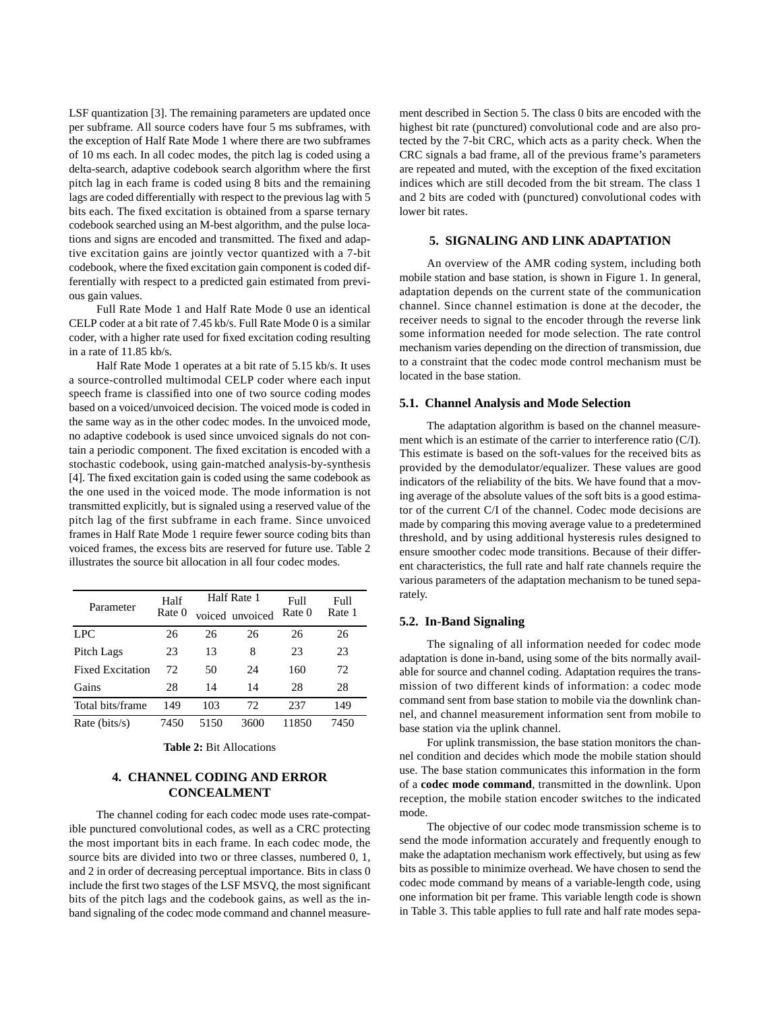LSF quantization [3]. The remaining parameters are updated once per subframe. All source coders have four 5 ms subframes, with the exception of Half Rate Mode 1 where there are two subframes of 10 ms each. In all codec modes, the pitch lag is coded using a delta-search, adaptive codebook search algorithm where the first pitch lag in each frame is coded using 8 bits and the remaining lags are coded differentially with respect to the previous lag with 5 bits each. The fixed excitation is obtained from a sparse ternary codebook searched using an M-best algorithm, and the pulse locations and signs are encoded and transmitted. The fixed and adaptive excitation gains are jointly vector quantized with a 7-bit codebook, where the fixed excitation gain component is coded differentially with respect to a predicted gain estimated from previous gain values.

Full Rate Mode 1 and Half Rate Mode 0 use an identical CELP coder at a bit rate of 7.45 kb/s. Full Rate Mode 0 is a similar coder, with a higher rate used for fixed excitation coding resulting in a rate of 11.85 kb/s.

Half Rate Mode 1 operates at a bit rate of 5.15 kb/s. It uses a source-controlled multimodal CELP coder where each input speech frame is classified into one of two source coding modes based on a voiced/unvoiced decision. The voiced mode is coded in the same way as in the other codec modes. In the unvoiced mode, no adaptive codebook is used since unvoiced signals do not contain a periodic component. The fixed excitation is encoded with a stochastic codebook, using gain-matched analysis-by-synthesis [4]. The fixed excitation gain is coded using the same codebook as the one used in the voiced mode. The mode information is not transmitted explicitly, but is signaled using a reserved value of the pitch lag of the first subframe in each frame. Since unvoiced frames in Half Rate Mode 1 require fewer source coding bits than voiced frames, the excess bits are reserved for future use. Table 2 illustrates the source bit allocation in all four codec modes.

| Parameter               | Half<br>Rate 0 | Half Rate 1 |                 | Full   | Full   |
|-------------------------|----------------|-------------|-----------------|--------|--------|
|                         |                |             | voiced unvoiced | Rate 0 | Rate 1 |
| LPC.                    | 26             | 26          | 26              | 26     | 26     |
| Pitch Lags              | 23             | 13          | 8               | 23     | 23     |
| <b>Fixed Excitation</b> | 72             | 50          | 24              | 160    | 72     |
| Gains                   | 28             | 14          | 14              | 28     | 28     |
| Total bits/frame        | 149            | 103         | 72              | 237    | 149    |
| Rate (bits/s)           | 7450           | 5150        | 3600            | 11850  | 7450   |

**Table 2:** Bit Allocations

## **4. CHANNEL CODING AND ERROR CONCEALMENT**

The channel coding for each codec mode uses rate-compatible punctured convolutional codes, as well as a CRC protecting the most important bits in each frame. In each codec mode, the source bits are divided into two or three classes, numbered 0, 1, and 2 in order of decreasing perceptual importance. Bits in class 0 include the first two stages of the LSF MSVQ, the most significant bits of the pitch lags and the codebook gains, as well as the inband signaling of the codec mode command and channel measurement described in Section 5. The class 0 bits are encoded with the highest bit rate (punctured) convolutional code and are also protected by the 7-bit CRC, which acts as a parity check. When the CRC signals a bad frame, all of the previous frame's parameters are repeated and muted, with the exception of the fixed excitation indices which are still decoded from the bit stream. The class 1 and 2 bits are coded with (punctured) convolutional codes with lower bit rates.

### **5. SIGNALING AND LINK ADAPTATION**

An overview of the AMR coding system, including both mobile station and base station, is shown in Figure 1. In general, adaptation depends on the current state of the communication channel. Since channel estimation is done at the decoder, the receiver needs to signal to the encoder through the reverse link some information needed for mode selection. The rate control mechanism varies depending on the direction of transmission, due to a constraint that the codec mode control mechanism must be located in the base station.

#### **5.1. Channel Analysis and Mode Selection**

The adaptation algorithm is based on the channel measurement which is an estimate of the carrier to interference ratio (C/I). This estimate is based on the soft-values for the received bits as provided by the demodulator/equalizer. These values are good indicators of the reliability of the bits. We have found that a moving average of the absolute values of the soft bits is a good estimator of the current C/I of the channel. Codec mode decisions are made by comparing this moving average value to a predetermined threshold, and by using additional hysteresis rules designed to ensure smoother codec mode transitions. Because of their different characteristics, the full rate and half rate channels require the various parameters of the adaptation mechanism to be tuned separately.

#### **5.2. In-Band Signaling**

The signaling of all information needed for codec mode adaptation is done in-band, using some of the bits normally available for source and channel coding. Adaptation requires the transmission of two different kinds of information: a codec mode command sent from base station to mobile via the downlink channel, and channel measurement information sent from mobile to base station via the uplink channel.

For uplink transmission, the base station monitors the channel condition and decides which mode the mobile station should use. The base station communicates this information in the form of a **codec mode command**, transmitted in the downlink. Upon reception, the mobile station encoder switches to the indicated mode.

The objective of our codec mode transmission scheme is to send the mode information accurately and frequently enough to make the adaptation mechanism work effectively, but using as few bits as possible to minimize overhead. We have chosen to send the codec mode command by means of a variable-length code, using one information bit per frame. This variable length code is shown in Table 3. This table applies to full rate and half rate modes sepa-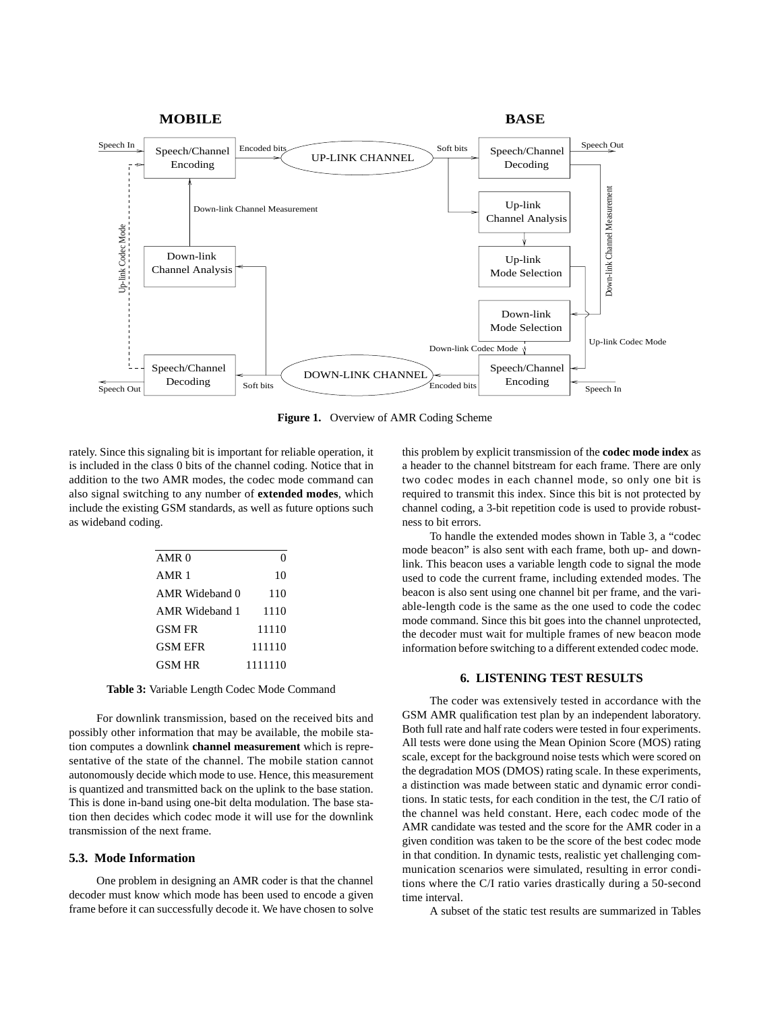

**Figure 1.** Overview of AMR Coding Scheme

rately. Since this signaling bit is important for reliable operation, it is included in the class 0 bits of the channel coding. Notice that in addition to the two AMR modes, the codec mode command can also signal switching to any number of **extended modes**, which include the existing GSM standards, as well as future options such as wideband coding.

| AMR <sub>0</sub> | 0       |
|------------------|---------|
|                  |         |
| AMR 1            | 10      |
| AMR Wideband 0   | 110     |
| AMR Wideband 1   | 1110    |
| GSM FR           | 11110   |
| <b>GSM EFR</b>   | 111110  |
| <b>GSM HR</b>    | 1111110 |
|                  |         |

**Table 3:** Variable Length Codec Mode Command

For downlink transmission, based on the received bits and possibly other information that may be available, the mobile station computes a downlink **channel measurement** which is representative of the state of the channel. The mobile station cannot autonomously decide which mode to use. Hence, this measurement is quantized and transmitted back on the uplink to the base station. This is done in-band using one-bit delta modulation. The base station then decides which codec mode it will use for the downlink transmission of the next frame.

#### **5.3. Mode Information**

One problem in designing an AMR coder is that the channel decoder must know which mode has been used to encode a given frame before it can successfully decode it. We have chosen to solve this problem by explicit transmission of the **codec mode index** as a header to the channel bitstream for each frame. There are only two codec modes in each channel mode, so only one bit is required to transmit this index. Since this bit is not protected by channel coding, a 3-bit repetition code is used to provide robustness to bit errors.

To handle the extended modes shown in Table 3, a "codec mode beacon" is also sent with each frame, both up- and downlink. This beacon uses a variable length code to signal the mode used to code the current frame, including extended modes. The beacon is also sent using one channel bit per frame, and the variable-length code is the same as the one used to code the codec mode command. Since this bit goes into the channel unprotected, the decoder must wait for multiple frames of new beacon mode information before switching to a different extended codec mode.

#### **6. LISTENING TEST RESULTS**

The coder was extensively tested in accordance with the GSM AMR qualification test plan by an independent laboratory. Both full rate and half rate coders were tested in four experiments. All tests were done using the Mean Opinion Score (MOS) rating scale, except for the background noise tests which were scored on the degradation MOS (DMOS) rating scale. In these experiments, a distinction was made between static and dynamic error conditions. In static tests, for each condition in the test, the C/I ratio of the channel was held constant. Here, each codec mode of the AMR candidate was tested and the score for the AMR coder in a given condition was taken to be the score of the best codec mode in that condition. In dynamic tests, realistic yet challenging communication scenarios were simulated, resulting in error conditions where the C/I ratio varies drastically during a 50-second time interval.

A subset of the static test results are summarized in Tables